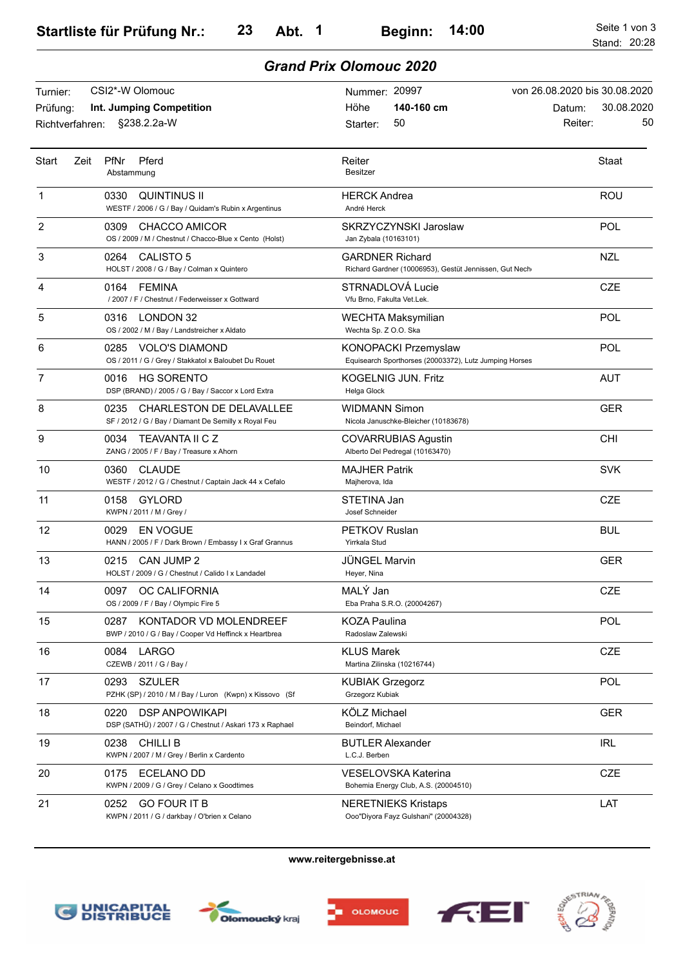## *Grand Prix Olomouc 2020*

| Turnier:                    | CSI2*-W Olomouc                                                                                 | Nummer: 20997                                                                    | von 26.08.2020 bis 30.08.2020         |
|-----------------------------|-------------------------------------------------------------------------------------------------|----------------------------------------------------------------------------------|---------------------------------------|
| Prüfung:<br>Richtverfahren: | Int. Jumping Competition<br>§238.2.2a-W                                                         | 140-160 cm<br>Höhe<br>50<br>Starter:                                             | 30.08.2020<br>Datum:<br>50<br>Reiter: |
| <b>Start</b><br>Zeit        | Pferd<br><b>PfNr</b><br>Abstammung                                                              | Reiter<br><b>Besitzer</b>                                                        | Staat                                 |
| 1                           | <b>QUINTINUS II</b><br>0330<br>WESTF / 2006 / G / Bay / Quidam's Rubin x Argentinus             | HERCK Andrea<br>André Herck                                                      | ROU                                   |
| 2                           | 0309<br><b>CHACCO AMICOR</b><br>OS / 2009 / M / Chestnut / Chacco-Blue x Cento (Holst)          | SKRZYCZYNSKI Jaroslaw<br>Jan Zybala (10163101)                                   | POL                                   |
| 3                           | <b>CALISTO 5</b><br>0264<br>HOLST / 2008 / G / Bay / Colman x Quintero                          | <b>GARDNER Richard</b><br>Richard Gardner (10006953), Gestüt Jennissen, Gut Nech | <b>NZL</b>                            |
| 4                           | 0164<br>FEMINA<br>/ 2007 / F / Chestnut / Federweisser x Gottward                               | STRNADLOVÁ Lucie<br>Vfu Brno. Fakulta Vet.Lek.                                   | <b>CZE</b>                            |
| 5                           | <b>LONDON 32</b><br>0316<br>OS / 2002 / M / Bay / Landstreicher x Aldato                        | <b>WECHTA Maksymilian</b><br>Wechta Sp. Z O.O. Ska                               | POL                                   |
| 6                           | VOLO'S DIAMOND<br>0285<br>OS / 2011 / G / Grey / Stakkatol x Baloubet Du Rouet                  | KONOPACKI Przemyslaw<br>Equisearch Sporthorses (20003372), Lutz Jumping Horses   | POL                                   |
| 7                           | <b>HG SORENTO</b><br>0016<br>DSP (BRAND) / 2005 / G / Bay / Saccor x Lord Extra                 | KOGELNIG JUN. Fritz<br>Helga Glock                                               | <b>AUT</b>                            |
| 8                           | 0235<br><b>CHARLESTON DE DELAVALLEE</b><br>SF / 2012 / G / Bay / Diamant De Semilly x Royal Feu | WIDMANN Simon<br>Nicola Januschke-Bleicher (10183678)                            | <b>GER</b>                            |
| 9                           | 0034<br><b>TEAVANTA II C Z</b><br>ZANG / 2005 / F / Bay / Treasure x Ahorn                      | <b>COVARRUBIAS Agustin</b><br>Alberto Del Pedregal (10163470)                    | <b>CHI</b>                            |
| 10                          | 0360<br><b>CLAUDE</b><br>WESTF / 2012 / G / Chestnut / Captain Jack 44 x Cefalo                 | MAJHER Patrik<br>Majherova, Ida                                                  | <b>SVK</b>                            |
| 11                          | <b>GYLORD</b><br>0158<br>KWPN / 2011 / M / Grey /                                               | STETINA Jan<br>Josef Schneider                                                   | <b>CZE</b>                            |
| 12                          | 0029<br><b>EN VOGUE</b><br>HANN / 2005 / F / Dark Brown / Embassy I x Graf Grannus              | <b>PETKOV Ruslan</b><br>Yirrkala Stud                                            | <b>BUL</b>                            |
| 13                          | 0215<br>CAN JUMP 2<br>HOLST / 2009 / G / Chestnut / Calido I x Landadel                         | JÜNGEL Marvin<br>Heyer, Nina                                                     | <b>GER</b>                            |
| 14                          | 0097 OC CALIFORNIA<br>OS / 2009 / F / Bay / Olympic Fire 5                                      | MALÝ Jan<br>Eba Praha S.R.O. (20004267)                                          | <b>CZE</b>                            |
| 15                          | KONTADOR VD MOLENDREEF<br>0287<br>BWP / 2010 / G / Bay / Cooper Vd Heffinck x Heartbrea         | KOZA Paulina<br>Radoslaw Zalewski                                                | <b>POL</b>                            |
| 16                          | 0084<br>LARGO<br>CZEWB / 2011 / G / Bay /                                                       | <b>KLUS Marek</b><br>Martina Zilinska (10216744)                                 | <b>CZE</b>                            |
| 17                          | 0293<br><b>SZULER</b><br>PZHK (SP) / 2010 / M / Bay / Luron (Kwpn) x Kissovo (Sf                | <b>KUBIAK Grzegorz</b><br>Grzegorz Kubiak                                        | <b>POL</b>                            |
| 18                          | 0220<br><b>DSP ANPOWIKAPI</b><br>DSP (SATHÜ) / 2007 / G / Chestnut / Askari 173 x Raphael       | KÖLZ Michael<br>Beindorf, Michael                                                | <b>GER</b>                            |
| 19                          | <b>CHILLIB</b><br>0238<br>KWPN / 2007 / M / Grey / Berlin x Cardento                            | <b>BUTLER Alexander</b><br>L.C.J. Berben                                         | <b>IRL</b>                            |
| 20                          | 0175<br>ECELANO DD<br>KWPN / 2009 / G / Grey / Celano x Goodtimes                               | VESELOVSKA Katerina<br>Bohemia Energy Club, A.S. (20004510)                      | <b>CZE</b>                            |
| 21                          | 0252<br><b>GO FOUR IT B</b><br>KWPN / 2011 / G / darkbay / O'brien x Celano                     | <b>NERETNIEKS Kristaps</b><br>Ooo"Diyora Fayz Gulshani" (20004328)               | LAT                                   |

**www.reitergebnisse.at**









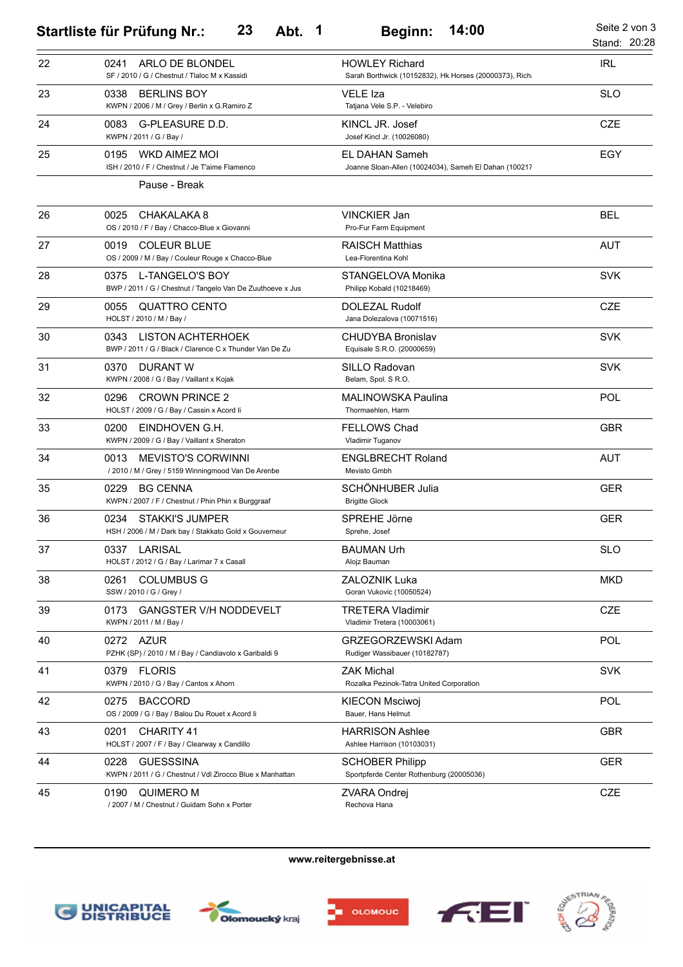|    | 23<br>Abt. 1<br><b>Startliste für Prüfung Nr.:</b>                                       | 14:00<br><b>Beginn:</b>                                                         | Seite 2 von 3<br>Stand: 20:28 |
|----|------------------------------------------------------------------------------------------|---------------------------------------------------------------------------------|-------------------------------|
| 22 | ARLO DE BLONDEL<br>0241<br>SF / 2010 / G / Chestnut / Tlaloc M x Kassidi                 | <b>HOWLEY Richard</b><br>Sarah Borthwick (10152832), Hk Horses (20000373), Rich | <b>IRL</b>                    |
| 23 | 0338<br><b>BERLINS BOY</b><br>KWPN / 2006 / M / Grey / Berlin x G.Ramiro Z               | <b>VELE Iza</b><br>Tatjana Vele S.P. - Velebiro                                 | <b>SLO</b>                    |
| 24 | 0083<br>G-PLEASURE D.D.<br>KWPN / 2011 / G / Bay /                                       | KINCL JR. Josef<br>Josef Kincl Jr. (10026080)                                   | <b>CZE</b>                    |
| 25 | 0195<br>WKD AIMEZ MOI<br>ISH / 2010 / F / Chestnut / Je T'aime Flamenco<br>Pause - Break | EL DAHAN Sameh<br>Joanne Sloan-Allen (10024034), Sameh El Dahan (100217         | EGY                           |
| 26 | 0025<br>CHAKALAKA 8<br>OS / 2010 / F / Bay / Chacco-Blue x Giovanni                      | <b>VINCKIER Jan</b><br>Pro-Fur Farm Equipment                                   | <b>BEL</b>                    |
| 27 | <b>COLEUR BLUE</b><br>0019<br>OS / 2009 / M / Bay / Couleur Rouge x Chacco-Blue          | <b>RAISCH Matthias</b><br>Lea-Florentina Kohl                                   | <b>AUT</b>                    |
| 28 | 0375 L-TANGELO'S BOY<br>BWP / 2011 / G / Chestnut / Tangelo Van De Zuuthoeve x Jus       | STANGELOVA Monika<br>Philipp Kobald (10218469)                                  | <b>SVK</b>                    |
| 29 | 0055<br><b>QUATTRO CENTO</b><br>HOLST / 2010 / M / Bay /                                 | <b>DOLEZAL Rudolf</b><br>Jana Dolezalova (10071516)                             | <b>CZE</b>                    |
| 30 | LISTON ACHTERHOEK<br>0343<br>BWP / 2011 / G / Black / Clarence C x Thunder Van De Zu     | CHUDYBA Bronislav<br>Equisale S.R.O. (20000659)                                 | <b>SVK</b>                    |
| 31 | DURANT W<br>0370<br>KWPN / 2008 / G / Bay / Vaillant x Kojak                             | SILLO Radovan<br>Belam, Spol. S R.O.                                            | <b>SVK</b>                    |
| 32 | 0296<br><b>CROWN PRINCE 2</b><br>HOLST / 2009 / G / Bay / Cassin x Acord Ii              | MALINOWSKA Paulina<br>Thormaehlen, Harm                                         | POL                           |
| 33 | 0200<br>EINDHOVEN G.H.<br>KWPN / 2009 / G / Bay / Vaillant x Sheraton                    | <b>FELLOWS Chad</b><br>Vladimir Tuganov                                         | <b>GBR</b>                    |
| 34 | <b>MEVISTO'S CORWINNI</b><br>0013<br>/ 2010 / M / Grey / 5159 Winningmood Van De Arenbe  | <b>ENGLBRECHT Roland</b><br>Mevisto Gmbh                                        | <b>AUT</b>                    |
| 35 | 0229<br><b>BG CENNA</b><br>KWPN / 2007 / F / Chestnut / Phin Phin x Burggraaf            | SCHÖNHUBER Julia<br><b>Brigitte Glock</b>                                       | <b>GER</b>                    |
| 36 | <b>STAKKI'S JUMPER</b><br>0234<br>HSH / 2006 / M / Dark bay / Stakkato Gold x Gouverneur | SPREHE Jörne<br>Sprehe, Josef                                                   | <b>GER</b>                    |
| 37 | 0337<br>LARISAL<br>HOLST / 2012 / G / Bay / Larimar 7 x Casall                           | <b>BAUMAN Urh</b><br>Alojz Bauman                                               | <b>SLO</b>                    |
| 38 | 0261<br><b>COLUMBUS G</b><br>SSW / 2010 / G / Grey /                                     | <b>ZALOZNIK Luka</b><br>Goran Vukovic (10050524)                                | <b>MKD</b>                    |
| 39 | <b>GANGSTER V/H NODDEVELT</b><br>0173<br>KWPN / 2011 / M / Bay /                         | <b>TRETERA Vladimir</b><br>Vladimir Tretera (10003061)                          | <b>CZE</b>                    |
| 40 | 0272 AZUR<br>PZHK (SP) / 2010 / M / Bay / Candiavolo x Garibaldi 9                       | GRZEGORZEWSKI Adam<br>Rudiger Wassibauer (10182787)                             | <b>POL</b>                    |
| 41 | 0379 FLORIS<br>KWPN / 2010 / G / Bay / Cantos x Ahorn                                    | <b>ZAK Michal</b><br>Rozalka Pezinok-Tatra United Corporation                   | <b>SVK</b>                    |
| 42 | <b>BACCORD</b><br>0275<br>OS / 2009 / G / Bay / Balou Du Rouet x Acord li                | <b>KIECON Msciwoj</b><br>Bauer, Hans Helmut                                     | <b>POL</b>                    |
| 43 | CHARITY 41<br>0201<br>HOLST / 2007 / F / Bay / Clearway x Candillo                       | <b>HARRISON Ashlee</b><br>Ashlee Harrison (10103031)                            | <b>GBR</b>                    |
| 44 | <b>GUESSSINA</b><br>0228<br>KWPN / 2011 / G / Chestnut / Vdl Zirocco Blue x Manhattan    | <b>SCHOBER Philipp</b><br>Sportpferde Center Rothenburg (20005036)              | <b>GER</b>                    |
| 45 | 0190<br><b>QUIMERO M</b><br>/ 2007 / M / Chestnut / Guidam Sohn x Porter                 | ZVARA Ondrej<br>Rechova Hana                                                    | CZE                           |

**www.reitergebnisse.at**